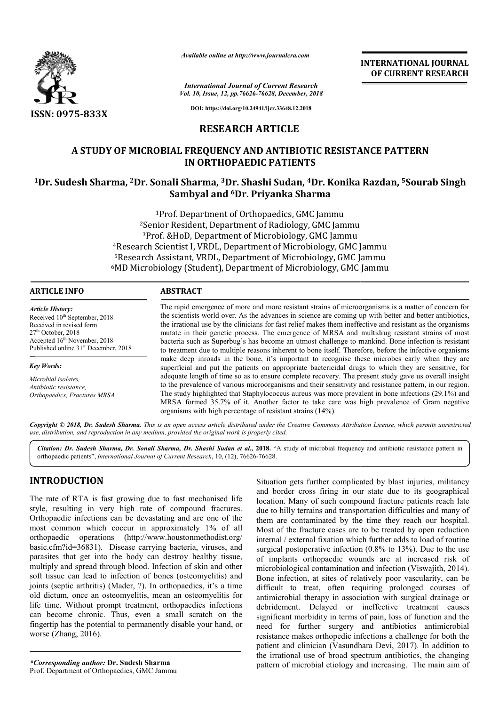

*Available online at http://www.journalcra.com*

*Vol. 10, Issue, 12, pp. pp.76626-76628, December, 2018 International Journal of Current Research*

**INTERNATIONAL JOURNAL OF CURRENT RESEARCH**

**DOI: https://doi.org/10.24941/ijcr.33648.12.2018**

# **RESEARCH ARTICLE**

# **A STUDY OF MICROBIAL FREQUENCY AND ANTIBIOTIC RESISTANCE PATTERN IN ORTHOPAEDIC PATIENTS**

# **1Dr. Sudesh Sharma, 2Dr. Sonali Sharma, 3Dr. Shashi Sudan, 4Dr. Konika Razdan, Konika 5Sourab Singh Sambyal and 6Dr. Priyanka Sharma**

1Prof. Department of Orthopaedics, GMC Jammu 2Senior Resident, Department of Radiology, GMC Jammu 3Prof. &HoD, Department of Microbiology, GMC Jammu <sup>1</sup>Prof. Department of Orthopaedics, GMC Jammu<br><sup>2</sup>Senior Resident, Department of Radiology, GMC Jammu<br><sup>3</sup>Prof. &HoD, Department of Microbiology, GMC Jammu<br><sup>4</sup>Research Scientist I, VRDL, Department of Microbiology, GMC Jamm ‡Research Scientist I, VRDL, Department of Microbiology, GMC Jammu<br><sup>5</sup>Research Assistant, VRDL, Department of Microbiology, GMC Jammu <sup>5</sup>Research Assistant, VRDL, Department of Microbiology, GMC Jammu<br><sup>6</sup>MD Microbiology (Student), Department of Microbiology, GMC Jammu

| <b>ARTICLE INFO</b>                                                                                                                                                                                            | <b>ABSTRACT</b>                                                                                                                                                                                                                                                                                                                                                                                                                                                                                                                                                                                                                                 |  |  |
|----------------------------------------------------------------------------------------------------------------------------------------------------------------------------------------------------------------|-------------------------------------------------------------------------------------------------------------------------------------------------------------------------------------------------------------------------------------------------------------------------------------------------------------------------------------------------------------------------------------------------------------------------------------------------------------------------------------------------------------------------------------------------------------------------------------------------------------------------------------------------|--|--|
| <b>Article History:</b><br>Received 10 <sup>th</sup> September, 2018<br>Received in revised form<br>$27th$ October, 2018<br>Accepted $16th$ November, 2018<br>Published online 31 <sup>st</sup> December, 2018 | The rapid emergence of more and more resistant strains of microorganisms is a matter of concern for<br>the scientists world over. As the advances in science are coming up with better and better antibiotics,<br>the irrational use by the clinicians for fast relief makes them ineffective and resistant as the organisms<br>mutate in their genetic process. The emergence of MRSA and multidrug resistant strains of most<br>bacteria such as Superbug's has become an utmost challenge to mankind. Bone infection is resistant<br>to treatment due to multiple reasons inherent to bone itself. Therefore, before the infective organisms |  |  |
| <b>Key Words:</b>                                                                                                                                                                                              | make deep inroads in the bone, it's important to recognise these microbes early when they are<br>superficial and put the patients on appropriate bactericidal drugs to which they are sensitive, for                                                                                                                                                                                                                                                                                                                                                                                                                                            |  |  |
|                                                                                                                                                                                                                | adoquate length of time so as to ensure complete recovery. The present study gave us overall insight                                                                                                                                                                                                                                                                                                                                                                                                                                                                                                                                            |  |  |

*Microbial isolates, Antibiotic resistance, Orthopaedics, Fractures MRSA.*

adequate length of time so as to ensure complete recovery. The present study gave us overall insight to the prevalence of various microorganisms and their sensitivity and resistance pattern, in our region. make deep inroads in the bone, it's important to recognise these microbes early when they are superficial and put the patients on appropriate bactericidal drugs to which they are sensitive, for adequate length of time so a MRSA formed 35.7% of it. Another factor to take care was high prevalence of Gram negative organisms with high percentage of resistant strains (14%).

Copyright © 2018, Dr. Sudesh Sharma. This is an open access article distributed under the Creative Commons Attribution License, which permits unrestrictea *use, distribution, and reproduction in any medium, provided the original work is properly cited.*

*Citation: Dr. Sudesh Sharma, Dr. Sonali Sharma, Dr. Shashi Sudan et al.,* **2018.** "A study of microbial frequency and antibiotic resistance pattern in orthopaedic patients", *International Journal of Current Research*, 10, (12), 76626-76628.

# **INTRODUCTION**

The rate of RTA is fast growing due to fast mechanised life style, resulting in very high rate of compound fractures. Orthopaedic infections can be devastating and are one of the most common which coccur in approximately 1% of all orthopaedic operations (http://www.houstonmethodist.org/ basic.cfm?id=36831). Disease carrying bacteria, viruses, and parasites that get into the body can destroy healthy tissue, multiply and spread through blood. Infection of skin and other soft tissue can lead to infection of bones (osteomyelitis) and joints (septic arthritis) (Mader, ?). In orthopaedics, it's a time old dictum, once an osteomyelitis, mean an osteomyelitis for life time. Without prompt treatment, orthopaedics infections can become chronic. Thus, even a small scratch on the fingertip has the potential to permanently disable your hand, or worse (Zhang, 2016).

*\*Corresponding author:* **Dr. Sudesh Sharma** Prof. Department of Orthopaedics, GMC Jammu

Situation gets further complicated by blast injuries, militancy<br>
fast growing due to fast mechanised life<br>
very high rate of compound fractures.<br>
wery high rate of compound fractures.<br>
Since in approximately 1% of all<br>
the Situation gets further complicated by blast injuries, militancy<br>and border cross firing in our state due to its geographical location. Many of such compound fracture patients reach late due to hilly terrains and transportation difficulties and many of them are contaminated by the time they reach our hospital. location. Many of such compound fracture patients reach late due to hilly terrains and transportation difficulties and many of them are contaminated by the time they reach our hospital. Most of the fracture cases are to be internal / external fixation which further adds to load of routine internal / external fixation which further adds to load of routine surgical postoperative infection  $(0.8\% \text{ to } 13\%)$ . Due to the use of implants orthopaedic wounds are at increased risk of microbiological contamination and infection (Viswajith, 2014). Bone infection, at sites of relatively poor vascularity, can be difficult to treat, often requiring prolonged courses of antimicrobial therapy in association with surgical drainage or debridement. Delayed or ineffective treatment causes significant morbidity in terms of pain, loss of function and the need for further surgery and antibiotics antimicrobial resistance makes orthopedic infections a challenge for both the patient and clinician (Vasundhara Devi, 2017). In addition to the irrational use of broad spectrum antibiotics, the changing pattern of microbial etiology and increasing. The main aim of infection, at sites of relatively poor vascularity, can be ficult to treat, often requiring prolonged courses of imicrobial therapy in association with surgical drainage or oridement. Delayed or ineffective treatment cause **EXERCTIONAL JOURNAL CONSUMPALM CONTROL**<br>
Search<br>
Search<br>
Search<br>
For. 2018<br>
2018<br>
2018<br>
2018<br>
2018<br>
2018<br>
2018<br>
2018<br>
2018<br>
2018<br>
2018<br>
2018<br>
2018<br>
2018<br>
2018<br>
2018<br>
2018<br>
2018<br>
2018<br>
2018<br>
2018<br>
2018<br>
2018<br>
2018<br>
2018<br>
2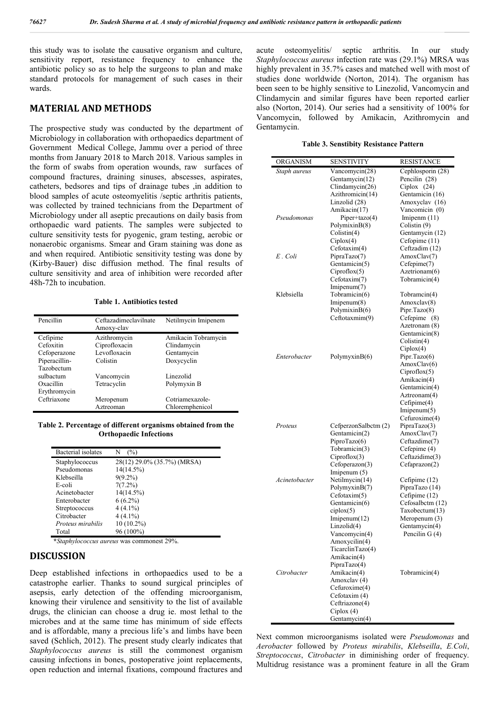this study was to isolate the causative organism and culture, sensitivity report, resistance frequency to enhance the antibiotic policy so as to help the surgeons to plan and make standard protocols for management of such cases in their wards.

## **MATERIAL AND METHODS**

The prospective study was conducted by the department of Microbiology in collaboration with orthopaedics department of Government Medical College, Jammu over a period of three months from January 2018 to March 2018. Various samples in the form of swabs from operation wounds, raw surfaces of compound fractures, draining sinuses, abscesses, aspirates, catheters, bedsores and tips of drainage tubes ,in addition to blood samples of acute osteomyelitis /septic arthritis patients, was collected by trained technicians from the Department of Microbiology under all aseptic precautions on daily basis from orthopaedic ward patients. The samples were subjected to culture sensitivity tests for pyogenic, gram testing, aerobic or nonaerobic organisms. Smear and Gram staining was done as and when required. Antibiotic sensitivity testing was done by (Kirby-Bauer) disc diffusion method. The final results of culture sensitivity and area of inhibition were recorded after 48h-72h to incubation.

### **Table 1. Antibiotics tested**

| Pencillin     | Ceftazadimeclavilnate<br>Amoxy-clav | Netilmycin Imipenem |
|---------------|-------------------------------------|---------------------|
| Cefipime      | Azithromycin                        | Amikacin Tobramycin |
| Cefoxitin     | Ciprofloxacin                       | Clindamycin         |
| Cefoperazone  | Levofloxacin                        | Gentamycin          |
| Piperacillin- | Colistin                            | Doxycyclin          |
| Tazobectum    |                                     |                     |
| sulbactum     | Vancomycin                          | Linezolid           |
| Oxacillin     | Tetracyclin                         | Polymyxin B         |
| Erythromycin  |                                     |                     |
| Ceftriaxone   | Meropenum                           | Cotriamexazole-     |
|               | Aztreoman                           | Chloremphenicol     |

#### **Table 2. Percentage of different organisms obtained from the Orthopaedic Infections**

| Bacterial isolates | N<br>(%)                    |
|--------------------|-----------------------------|
| Staphylococcus     | 28(12) 29.0% (35.7%) (MRSA) |
| Pseudomonas        | 14(14.5%)                   |
| Klebseilla         | $9(9.2\%)$                  |
| E-coli             | $7(7.2\%)$                  |
| Acinetobacter      | $14(14.5\%)$                |
| Enterobacter       | $6(6.2\%)$                  |
| Streptococcus      | $4(4.1\%)$                  |
| Citrobacter        | $4(4.1\%)$                  |
| Proteus mirabilis  | 10 (10.2%)                  |
| Total              | 96 (100%)                   |
|                    | $    -$                     |

**\****Staphylococcus aureus* was commonest 29%.

## **DISCUSSION**

Deep established infections in orthopaedics used to be a catastrophe earlier. Thanks to sound surgical principles of asepsis, early detection of the offending microorganism, knowing their virulence and sensitivity to the list of available drugs, the clinician can choose a drug ie. most lethal to the microbes and at the same time has minimum of side effects and is affordable, many a precious life's and limbs have been saved (Schlich, 2012). The present study clearly indicates that *Staphylococcus aureus* is still the commonest organism causing infections in bones, postoperative joint replacements, open reduction and internal fixations, compound fractures and

acute osteomyelitis/ septic arthritis. In our study *Staphylococcus aureus* infection rate was (29.1%) MRSA was highly prevalent in 35.7% cases and matched well with most of studies done worldwide (Norton, 2014). The organism has been seen to be highly sensitive to Linezolid, Vancomycin and Clindamycin and similar figures have been reported earlier also (Norton, 2014). Our series had a sensitivity of 100% for Vancomycin, followed by Amikacin, Azithromycin and Gentamycin.

#### **Table 3. Senstibity Resistance Pattern**

| ORGANISM      | SENSTIVITY                        | RESISTANCE                        |
|---------------|-----------------------------------|-----------------------------------|
| Staph aureus  | Vancomycin(28)                    | Cephlosporin (28)                 |
|               | Gentamycin(12)                    | Pencilin (28)                     |
|               | Clindamycin(26)                   | Ciplox $(24)$                     |
|               | Azithromicin(14)<br>Linzolid (28) | Gentamicin (16)<br>Amoxyclav (16) |
|               | Amikacin(17)                      | Vancomicin (0)                    |
| Pseudomonas   | Piper+tazo(4)                     | Imipenm $(11)$                    |
|               | PolymixinB(8)                     | Colistin (9)                      |
|               | Colistin(4)                       | Gentamycin (12)                   |
|               | Ciplox(4)                         | Cefopime (11)                     |
|               | Cefotaxim(4)                      | Ceftzadim (12)                    |
| E. Coli       | PipraTazo(7)                      | AmoxClav(7)                       |
|               | Gentamicin(5)                     | Cefepime(7)                       |
|               | Ciproflox(5)                      | Azetrionam(6)                     |
|               | Cefotaxim(7)                      | Tobramicin(4)                     |
| Klebsiella    | Imipenum(7)<br>Tobramicin(6)      | Tobramcin(4)                      |
|               | Imipenum(8)                       | Amoxclav(8)                       |
|               | PolymixinB(6)                     | Pipr.Tazo(8)                      |
|               | Ceftotaxmim(9)                    | Cefepime (8)                      |
|               |                                   | Azetronam (8)                     |
|               |                                   | Gentamicin(8)                     |
|               |                                   | Colistin(4)                       |
|               |                                   | Ciplox(4)                         |
| Enterobacter  | Polymyxin $B(6)$                  | Pipr.Tazo(6)                      |
|               |                                   | AmoxClav(6)<br>Ciproflox(5)       |
|               |                                   | Amikacin(4)                       |
|               |                                   | Gentamicin(4)                     |
|               |                                   | Aztreonam(4)                      |
|               |                                   | Cefipime(4)                       |
|               |                                   | Imipenum(5)                       |
|               |                                   | Cefuroxime(4)                     |
| Proteus       | CefperzonSalbctm (2)              | PipraTazo(3)                      |
|               | Gentamicin(2)                     | AmoxClav(7)                       |
|               | PiproTazo(6)<br>Tobramicin(3)     | Ceftazdime(7)<br>Cefepime (4)     |
|               | Ciproflox(3)                      | Ceftazidime(3)                    |
|               | Cefoperazon(3)                    | Cefaprazon(2)                     |
|               | Imipenum (5)                      |                                   |
| Acinetobacter | Netilmycin(14)                    | Cefipime (12)                     |
|               | PolymyxinB(7)                     | PipraTazo (14)                    |
|               | Cefotaxim(5)                      | Cefipime (12)                     |
|               | Gentamicin(6)                     | Cefosalbctm (12)                  |
|               | ciplox(5)<br>Imipenum(12)         | Taxobectum(13)<br>Meropenum (3)   |
|               | Linzolid(4)                       | Gentamycin(4)                     |
|               | Vancomycin(4)                     | Pencilin G (4)                    |
|               | Amoxycilin(4)                     |                                   |
|               | TicarclinTazo(4)                  |                                   |
|               | Amikacin(4)                       |                                   |
|               | PipraTazo(4)                      |                                   |
| Citrobacter   | Amikacin(4)                       | Tobramicin(4)                     |
|               | Amoxclav (4)                      |                                   |
|               | Cefuroxime(4)<br>Cefotaxim (4)    |                                   |
|               | Ceftriazone(4)                    |                                   |
|               | Ciplox $(4)$                      |                                   |
|               | Gentamycin(4)                     |                                   |

Next common microorganisms isolated were *Pseudomonas* and *Aerobacter* followed by *Proteus mirabilis*, *Klebseilla*, *E.Coli*, *Streptococcus*, *Citrobacter* in diminishing order of frequency. Multidrug resistance was a prominent feature in all the Gram